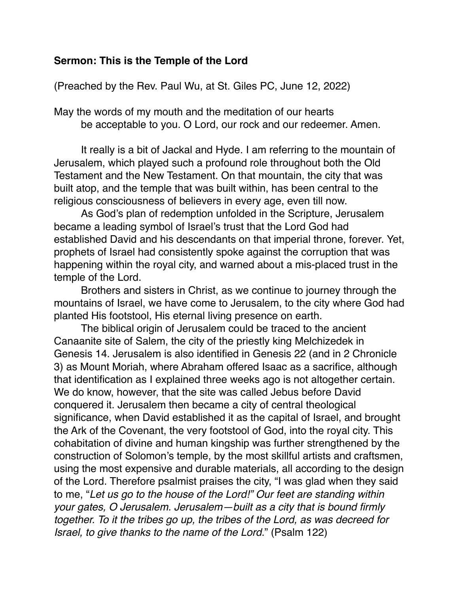## **Sermon: This is the Temple of the Lord**

(Preached by the Rev. Paul Wu, at St. Giles PC, June 12, 2022)

May the words of my mouth and the meditation of our hearts be acceptable to you. O Lord, our rock and our redeemer. Amen.

It really is a bit of Jackal and Hyde. I am referring to the mountain of Jerusalem, which played such a profound role throughout both the Old Testament and the New Testament. On that mountain, the city that was built atop, and the temple that was built within, has been central to the religious consciousness of believers in every age, even till now.

As God's plan of redemption unfolded in the Scripture, Jerusalem became a leading symbol of Israel's trust that the Lord God had established David and his descendants on that imperial throne, forever. Yet, prophets of Israel had consistently spoke against the corruption that was happening within the royal city, and warned about a mis-placed trust in the temple of the Lord.

Brothers and sisters in Christ, as we continue to journey through the mountains of Israel, we have come to Jerusalem, to the city where God had planted His footstool, His eternal living presence on earth.

The biblical origin of Jerusalem could be traced to the ancient Canaanite site of Salem, the city of the priestly king Melchizedek in Genesis 14. Jerusalem is also identified in Genesis 22 (and in 2 Chronicle 3) as Mount Moriah, where Abraham offered Isaac as a sacrifice, although that identification as I explained three weeks ago is not altogether certain. We do know, however, that the site was called Jebus before David conquered it. Jerusalem then became a city of central theological significance, when David established it as the capital of Israel, and brought the Ark of the Covenant, the very footstool of God, into the royal city. This cohabitation of divine and human kingship was further strengthened by the construction of Solomon's temple, by the most skillful artists and craftsmen, using the most expensive and durable materials, all according to the design of the Lord. Therefore psalmist praises the city, "I was glad when they said to me, "*Let us go to the house of the Lord!" Our feet are standing within your gates, O Jerusalem. Jerusalem—built as a city that is bound firmly together. To it the tribes go up, the tribes of the Lord, as was decreed for Israel, to give thanks to the name of the Lord.*" (Psalm 122)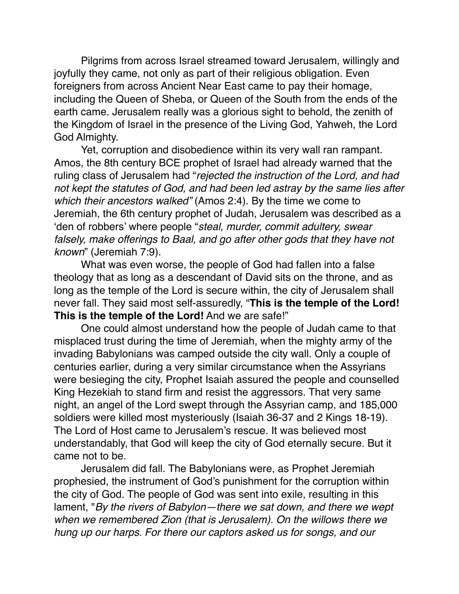Pilgrims from across Israel streamed toward Jerusalem, willingly and joyfully they came, not only as part of their religious obligation. Even foreigners from across Ancient Near East came to pay their homage, including the Queen of Sheba, or Queen of the South from the ends of the earth came. Jerusalem really was a glorious sight to behold, the zenith of the Kingdom of Israel in the presence of the Living God, Yahweh, the Lord God Almighty.

Yet, corruption and disobedience within its very wall ran rampant. Amos, the 8th century BCE prophet of Israel had already warned that the ruling class of Jerusalem had "*rejected the instruction of the Lord, and had not kept the statutes of God, and had been led astray by the same lies after which their ancestors walked"* (Amos 2:4). By the time we come to Jeremiah, the 6th century prophet of Judah, Jerusalem was described as a 'den of robbers' where people "*steal, murder, commit adultery, swear falsely, make offerings to Baal, and go after other gods that they have not known*" (Jeremiah 7:9).

What was even worse, the people of God had fallen into a false theology that as long as a descendant of David sits on the throne, and as long as the temple of the Lord is secure within, the city of Jerusalem shall never fall. They said most self-assuredly, "**This is the temple of the Lord! This is the temple of the Lord!** And we are safe!"

One could almost understand how the people of Judah came to that misplaced trust during the time of Jeremiah, when the mighty army of the invading Babylonians was camped outside the city wall. Only a couple of centuries earlier, during a very similar circumstance when the Assyrians were besieging the city, Prophet Isaiah assured the people and counselled King Hezekiah to stand firm and resist the aggressors. That very same night, an angel of the Lord swept through the Assyrian camp, and 185,000 soldiers were killed most mysteriously (Isaiah 36-37 and 2 Kings 18-19). The Lord of Host came to Jerusalem's rescue. It was believed most understandably, that God will keep the city of God eternally secure. But it came not to be.

Jerusalem did fall. The Babylonians were, as Prophet Jeremiah prophesied, the instrument of God's punishment for the corruption within the city of God. The people of God was sent into exile, resulting in this lament, "*By the rivers of Babylon—there we sat down, and there we wept when we remembered Zion (that is Jerusalem). On the willows there we hung up our harps. For there our captors asked us for songs, and our*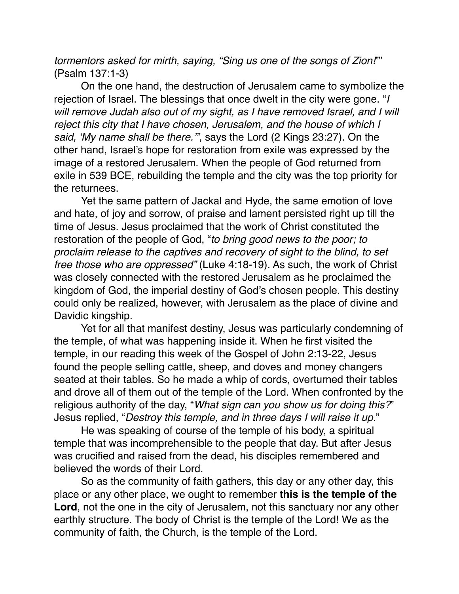*tormentors asked for mirth, saying, "Sing us one of the songs of Zion!*"" (Psalm 137:1-3)

On the one hand, the destruction of Jerusalem came to symbolize the rejection of Israel. The blessings that once dwelt in the city were gone. "*I will remove Judah also out of my sight, as I have removed Israel, and I will reject this city that I have chosen, Jerusalem, and the house of which I said, 'My name shall be there.'"*, says the Lord (2 Kings 23:27). On the other hand, Israel's hope for restoration from exile was expressed by the image of a restored Jerusalem. When the people of God returned from exile in 539 BCE, rebuilding the temple and the city was the top priority for the returnees.

Yet the same pattern of Jackal and Hyde, the same emotion of love and hate, of joy and sorrow, of praise and lament persisted right up till the time of Jesus. Jesus proclaimed that the work of Christ constituted the restoration of the people of God, "*to bring good news to the poor; to proclaim release to the captives and recovery of sight to the blind, to set free those who are oppressed"* (Luke 4:18-19). As such, the work of Christ was closely connected with the restored Jerusalem as he proclaimed the kingdom of God, the imperial destiny of God's chosen people. This destiny could only be realized, however, with Jerusalem as the place of divine and Davidic kingship.

Yet for all that manifest destiny, Jesus was particularly condemning of the temple, of what was happening inside it. When he first visited the temple, in our reading this week of the Gospel of John 2:13-22, Jesus found the people selling cattle, sheep, and doves and money changers seated at their tables. So he made a whip of cords, overturned their tables and drove all of them out of the temple of the Lord. When confronted by the religious authority of the day, "*What sign can you show us for doing this?*" Jesus replied, "*Destroy this temple, and in three days I will raise it up.*"

He was speaking of course of the temple of his body, a spiritual temple that was incomprehensible to the people that day. But after Jesus was crucified and raised from the dead, his disciples remembered and believed the words of their Lord.

So as the community of faith gathers, this day or any other day, this place or any other place, we ought to remember **this is the temple of the Lord**, not the one in the city of Jerusalem, not this sanctuary nor any other earthly structure. The body of Christ is the temple of the Lord! We as the community of faith, the Church, is the temple of the Lord.